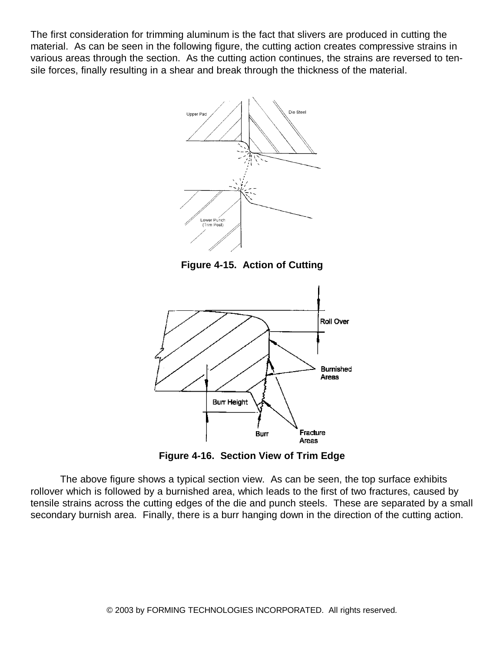The first consideration for trimming aluminum is the fact that slivers are produced in cutting the material. As can be seen in the following figure, the cutting action creates compressive strains in various areas through the section. As the cutting action continues, the strains are reversed to tensile forces, finally resulting in a shear and break through the thickness of the material.



**Figure 4-15. Action of Cutting**



**Figure 4-16. Section View of Trim Edge**

The above figure shows a typical section view. As can be seen, the top surface exhibits rollover which is followed by a burnished area, which leads to the first of two fractures, caused by tensile strains across the cutting edges of the die and punch steels. These are separated by a small secondary burnish area. Finally, there is a burr hanging down in the direction of the cutting action.